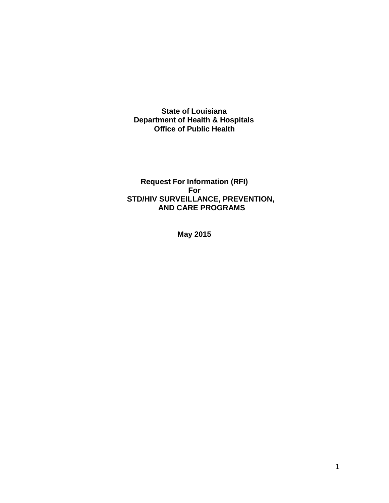**State of Louisiana Department of Health & Hospitals Office of Public Health**

**Request For Information (RFI) For STD/HIV SURVEILLANCE, PREVENTION, AND CARE PROGRAMS**

**May 2015**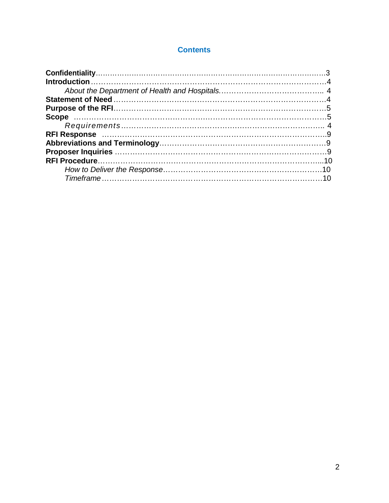## **Contents**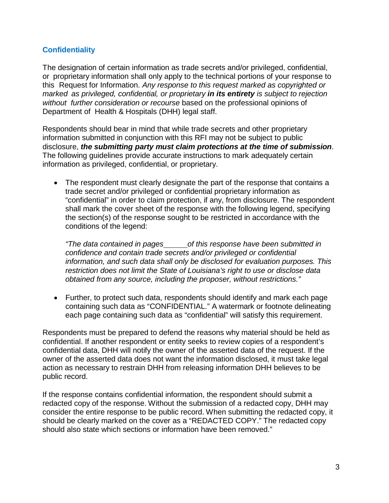## **Confidentiality**

The designation of certain information as trade secrets and/or privileged, confidential, or proprietary information shall only apply to the technical portions of your response to this Request for Information. *Any response to this request marked as copyrighted or marked as privileged, confidential, or proprietary in its entirety is subject to rejection without further consideration or recourse* based on the professional opinions of Department of Health & Hospitals (DHH) legal staff.

Respondents should bear in mind that while trade secrets and other proprietary information submitted in conjunction with this RFI may not be subject to public disclosure, *the submitting party must claim protections at the time of submission*. The following guidelines provide accurate instructions to mark adequately certain information as privileged, confidential, or proprietary.

• The respondent must clearly designate the part of the response that contains a trade secret and/or privileged or confidential proprietary information as "confidential" in order to claim protection, if any, from disclosure. The respondent shall mark the cover sheet of the response with the following legend, specifying the section(s) of the response sought to be restricted in accordance with the conditions of the legend:

*"The data contained in pages of this response have been submitted in confidence and contain trade secrets and/or privileged or confidential information, and such data shall only be disclosed for evaluation purposes. This restriction does not limit the State of Louisiana's right to use or disclose data obtained from any source, including the proposer, without restrictions."*

• Further, to protect such data, respondents should identify and mark each page containing such data as "CONFIDENTIAL." A watermark or footnote delineating each page containing such data as "confidential" will satisfy this requirement.

Respondents must be prepared to defend the reasons why material should be held as confidential. If another respondent or entity seeks to review copies of a respondent's confidential data, DHH will notify the owner of the asserted data of the request. If the owner of the asserted data does not want the information disclosed, it must take legal action as necessary to restrain DHH from releasing information DHH believes to be public record.

If the response contains confidential information, the respondent should submit a redacted copy of the response. Without the submission of a redacted copy, DHH may consider the entire response to be public record. When submitting the redacted copy, it should be clearly marked on the cover as a "REDACTED COPY." The redacted copy should also state which sections or information have been removed."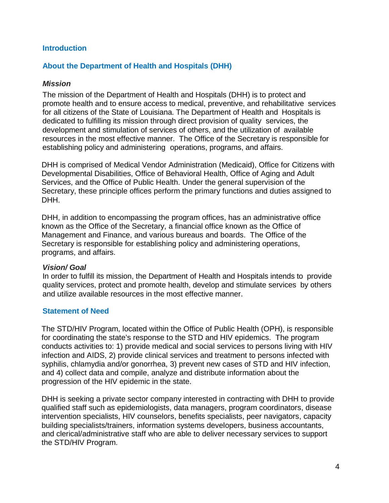### **Introduction**

### **About the Department of Health and Hospitals (DHH)**

### *Mission*

The mission of the Department of Health and Hospitals (DHH) is to protect and promote health and to ensure access to medical, preventive, and rehabilitative services for all citizens of the State of Louisiana. The Department of Health and Hospitals is dedicated to fulfilling its mission through direct provision of quality services, the development and stimulation of services of others, and the utilization of available resources in the most effective manner. The Office of the Secretary is responsible for establishing policy and administering operations, programs, and affairs.

DHH is comprised of Medical Vendor Administration (Medicaid), Office for Citizens with Developmental Disabilities, Office of Behavioral Health, Office of Aging and Adult Services, and the Office of Public Health. Under the general supervision of the Secretary, these principle offices perform the primary functions and duties assigned to DHH.

DHH, in addition to encompassing the program offices, has an administrative office known as the Office of the Secretary, a financial office known as the Office of Management and Finance, and various bureaus and boards. The Office of the Secretary is responsible for establishing policy and administering operations, programs, and affairs.

### *Vision/ Goal*

In order to fulfill its mission, the Department of Health and Hospitals intends to provide quality services, protect and promote health, develop and stimulate services by others and utilize available resources in the most effective manner.

### **Statement of Need**

The STD/HIV Program, located within the Office of Public Health (OPH), is responsible for coordinating the state's response to the STD and HIV epidemics. The program conducts activities to: 1) provide medical and social services to persons living with HIV infection and AIDS, 2) provide clinical services and treatment to persons infected with syphilis, chlamydia and/or gonorrhea, 3) prevent new cases of STD and HIV infection, and 4) collect data and compile, analyze and distribute information about the progression of the HIV epidemic in the state.

DHH is seeking a private sector company interested in contracting with DHH to provide qualified staff such as epidemiologists, data managers, program coordinators, disease intervention specialists, HIV counselors, benefits specialists, peer navigators, capacity building specialists/trainers, information systems developers, business accountants, and clerical/administrative staff who are able to deliver necessary services to support the STD/HIV Program.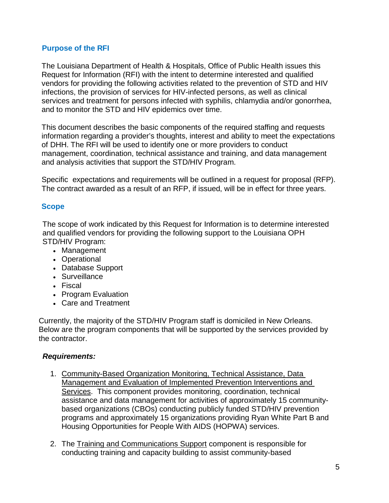### **Purpose of the RFI**

The Louisiana Department of Health & Hospitals, Office of Public Health issues this Request for Information (RFI) with the intent to determine interested and qualified vendors for providing the following activities related to the prevention of STD and HIV infections, the provision of services for HIV-infected persons, as well as clinical services and treatment for persons infected with syphilis, chlamydia and/or gonorrhea, and to monitor the STD and HIV epidemics over time.

This document describes the basic components of the required staffing and requests information regarding a provider's thoughts, interest and ability to meet the expectations of DHH. The RFI will be used to identify one or more providers to conduct management, coordination, technical assistance and training, and data management and analysis activities that support the STD/HIV Program.

Specific expectations and requirements will be outlined in a request for proposal (RFP). The contract awarded as a result of an RFP, if issued, will be in effect for three years.

# **Scope**

The scope of work indicated by this Request for Information is to determine interested and qualified vendors for providing the following support to the Louisiana OPH STD/HIV Program:

- Management
- Operational
- Database Support
- Surveillance
- Fiscal
- Program Evaluation
- Care and Treatment

Currently, the majority of the STD/HIV Program staff is domiciled in New Orleans. Below are the program components that will be supported by the services provided by the contractor.

## *Requirements:*

- 1. Community-Based Organization Monitoring, Technical Assistance, Data Management and Evaluation of Implemented Prevention Interventions and Services. This component provides monitoring, coordination, technical assistance and data management for activities of approximately 15 communitybased organizations (CBOs) conducting publicly funded STD/HIV prevention programs and approximately 15 organizations providing Ryan White Part B and Housing Opportunities for People With AIDS (HOPWA) services.
- 2. The Training and Communications Support component is responsible for conducting training and capacity building to assist community-based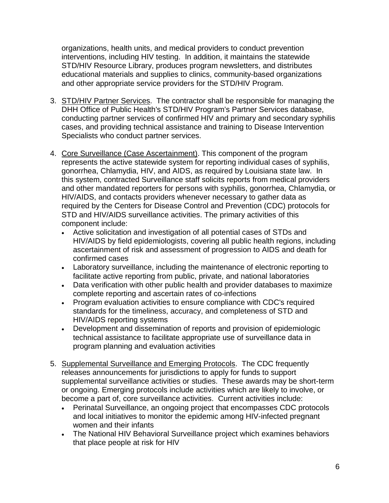organizations, health units, and medical providers to conduct prevention interventions, including HIV testing. In addition, it maintains the statewide STD/HIV Resource Library, produces program newsletters, and distributes educational materials and supplies to clinics, community-based organizations and other appropriate service providers for the STD/HIV Program.

- 3. STD/HIV Partner Services. The contractor shall be responsible for managing the DHH Office of Public Health's STD/HIV Program's Partner Services database, conducting partner services of confirmed HIV and primary and secondary syphilis cases, and providing technical assistance and training to Disease Intervention Specialists who conduct partner services.
- 4. Core Surveillance (Case Ascertainment). This component of the program represents the active statewide system for reporting individual cases of syphilis, gonorrhea, Chlamydia, HIV, and AIDS, as required by Louisiana state law. In this system, contracted Surveillance staff solicits reports from medical providers and other mandated reporters for persons with syphilis, gonorrhea, Chlamydia, or HIV/AIDS, and contacts providers whenever necessary to gather data as required by the Centers for Disease Control and Prevention (CDC) protocols for STD and HIV/AIDS surveillance activities. The primary activities of this component include:
	- Active solicitation and investigation of all potential cases of STDs and HIV/AIDS by field epidemiologists, covering all public health regions, including ascertainment of risk and assessment of progression to AIDS and death for confirmed cases
	- Laboratory surveillance, including the maintenance of electronic reporting to facilitate active reporting from public, private, and national laboratories
	- Data verification with other public health and provider databases to maximize complete reporting and ascertain rates of co-infections
	- Program evaluation activities to ensure compliance with CDC's required standards for the timeliness, accuracy, and completeness of STD and HIV/AIDS reporting systems
	- Development and dissemination of reports and provision of epidemiologic technical assistance to facilitate appropriate use of surveillance data in program planning and evaluation activities
- 5. Supplemental Surveillance and Emerging Protocols. The CDC frequently releases announcements for jurisdictions to apply for funds to support supplemental surveillance activities or studies. These awards may be short-term or ongoing. Emerging protocols include activities which are likely to involve, or become a part of, core surveillance activities. Current activities include:
	- Perinatal Surveillance, an ongoing project that encompasses CDC protocols and local initiatives to monitor the epidemic among HIV-infected pregnant women and their infants
	- The National HIV Behavioral Surveillance project which examines behaviors that place people at risk for HIV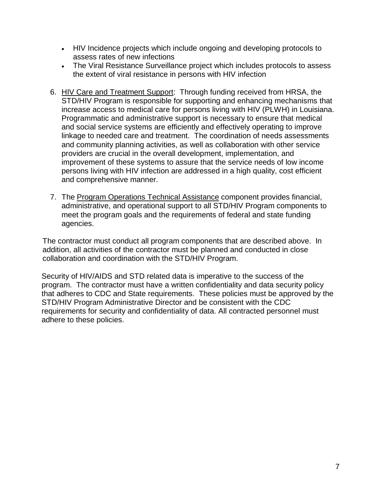- HIV Incidence projects which include ongoing and developing protocols to assess rates of new infections
- The Viral Resistance Surveillance project which includes protocols to assess the extent of viral resistance in persons with HIV infection
- 6. HIV Care and Treatment Support: Through funding received from HRSA, the STD/HIV Program is responsible for supporting and enhancing mechanisms that increase access to medical care for persons living with HIV (PLWH) in Louisiana. Programmatic and administrative support is necessary to ensure that medical and social service systems are efficiently and effectively operating to improve linkage to needed care and treatment. The coordination of needs assessments and community planning activities, as well as collaboration with other service providers are crucial in the overall development, implementation, and improvement of these systems to assure that the service needs of low income persons living with HIV infection are addressed in a high quality, cost efficient and comprehensive manner.
- 7. The Program Operations Technical Assistance component provides financial, administrative, and operational support to all STD/HIV Program components to meet the program goals and the requirements of federal and state funding agencies.

The contractor must conduct all program components that are described above. In addition, all activities of the contractor must be planned and conducted in close collaboration and coordination with the STD/HIV Program.

Security of HIV/AIDS and STD related data is imperative to the success of the program. The contractor must have a written confidentiality and data security policy that adheres to CDC and State requirements. These policies must be approved by the STD/HIV Program Administrative Director and be consistent with the CDC requirements for security and confidentiality of data. All contracted personnel must adhere to these policies.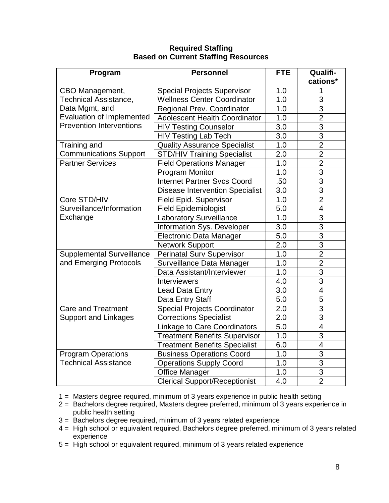| Program                          | <b>Personnel</b>                       | <b>FTE</b>       | Qualifi-<br>cations* |
|----------------------------------|----------------------------------------|------------------|----------------------|
| CBO Management,                  | <b>Special Projects Supervisor</b>     | 1.0              | 1                    |
| <b>Technical Assistance,</b>     | <b>Wellness Center Coordinator</b>     | 1.0              | 3                    |
| Data Mgmt, and                   | Regional Prev. Coordinator             | 1.0              | 3                    |
| <b>Evaluation of Implemented</b> | <b>Adolescent Health Coordinator</b>   | 1.0              | $\overline{2}$       |
| <b>Prevention Interventions</b>  | <b>HIV Testing Counselor</b>           | 3.0              | $\overline{3}$       |
|                                  | <b>HIV Testing Lab Tech</b>            | 3.0              | $\overline{3}$       |
| Training and                     | <b>Quality Assurance Specialist</b>    | 1.0              | $\overline{2}$       |
| <b>Communications Support</b>    | <b>STD/HIV Training Specialist</b>     | 2.0              | $\overline{2}$       |
| <b>Partner Services</b>          | <b>Field Operations Manager</b>        | 1.0              | $\overline{2}$       |
|                                  | <b>Program Monitor</b>                 | 1.0              | $\overline{3}$       |
|                                  | <b>Internet Partner Svcs Coord</b>     | .50              | $\overline{3}$       |
|                                  | <b>Disease Intervention Specialist</b> | 3.0              | 3                    |
| Core STD/HIV                     | Field Epid. Supervisor                 | 1.0              | $\overline{2}$       |
| Surveillance/Information         | <b>Field Epidemiologist</b>            | 5.0              | $\overline{4}$       |
| Exchange                         | <b>Laboratory Surveillance</b>         | 1.0              | 3                    |
|                                  | Information Sys. Developer             | 3.0              | $\overline{3}$       |
|                                  | <b>Electronic Data Manager</b>         | 5.0              | $\overline{3}$       |
|                                  | <b>Network Support</b>                 | $\overline{2.0}$ | $\overline{3}$       |
| <b>Supplemental Surveillance</b> | <b>Perinatal Surv Supervisor</b>       | 1.0              | $\overline{2}$       |
| and Emerging Protocols           | Surveillance Data Manager              | 1.0              | $\overline{2}$       |
|                                  | Data Assistant/Interviewer             | 1.0              | $\overline{3}$       |
|                                  | <b>Interviewers</b>                    | 4.0              | 3                    |
|                                  | Lead Data Entry                        | 3.0              | 4                    |
|                                  | Data Entry Staff                       | 5.0              | 5                    |
| <b>Care and Treatment</b>        | <b>Special Projects Coordinator</b>    | 2.0              | 3                    |
| <b>Support and Linkages</b>      | <b>Corrections Specialist</b>          | 2.0              | 3                    |
|                                  | <b>Linkage to Care Coordinators</b>    | 5.0              | $\overline{4}$       |
|                                  | <b>Treatment Benefits Supervisor</b>   | 1.0              | $\overline{3}$       |
|                                  | <b>Treatment Benefits Specialist</b>   | 6.0              | 4                    |
| <b>Program Operations</b>        | <b>Business Operations Coord</b>       | 1.0              | $\overline{3}$       |
| <b>Technical Assistance</b>      | <b>Operations Supply Coord</b>         | 1.0              | 3                    |
|                                  | <b>Office Manager</b>                  | 1.0              | 3                    |
|                                  | <b>Clerical Support/Receptionist</b>   | 4.0              | $\overline{2}$       |

## **Required Staffing Based on Current Staffing Resources**

1 = Masters degree required, minimum of 3 years experience in public health setting

- 2 = Bachelors degree required, Masters degree preferred, minimum of 3 years experience in public health setting
- 3 = Bachelors degree required, minimum of 3 years related experience
- 4 = High school or equivalent required, Bachelors degree preferred, minimum of 3 years related experience
- 5 = High school or equivalent required, minimum of 3 years related experience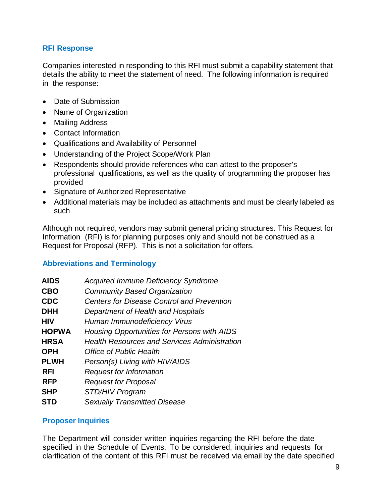### **RFI Response**

Companies interested in responding to this RFI must submit a capability statement that details the ability to meet the statement of need. The following information is required in the response:

- Date of Submission
- Name of Organization
- Mailing Address
- Contact Information
- Qualifications and Availability of Personnel
- Understanding of the Project Scope/Work Plan
- Respondents should provide references who can attest to the proposer's professional qualifications, as well as the quality of programming the proposer has provided
- Signature of Authorized Representative
- Additional materials may be included as attachments and must be clearly labeled as such

Although not required, vendors may submit general pricing structures. This Request for Information (RFI) is for planning purposes only and should not be construed as a Request for Proposal (RFP). This is not a solicitation for offers.

### **Abbreviations and Terminology**

| <b>AIDS</b>  | <b>Acquired Immune Deficiency Syndrome</b>          |
|--------------|-----------------------------------------------------|
| <b>CBO</b>   | <b>Community Based Organization</b>                 |
| CDC          | <b>Centers for Disease Control and Prevention</b>   |
| <b>DHH</b>   | Department of Health and Hospitals                  |
| HIV          | Human Immunodeficiency Virus                        |
| <b>HOPWA</b> | Housing Opportunities for Persons with AIDS         |
| <b>HRSA</b>  | <b>Health Resources and Services Administration</b> |
| <b>OPH</b>   | Office of Public Health                             |
| <b>PLWH</b>  | Person(s) Living with HIV/AIDS                      |
| <b>RFI</b>   | <b>Request for Information</b>                      |
| <b>RFP</b>   | <b>Request for Proposal</b>                         |
| <b>SHP</b>   | STD/HIV Program                                     |
| <b>STD</b>   | <b>Sexually Transmitted Disease</b>                 |

## **Proposer Inquiries**

The Department will consider written inquiries regarding the RFI before the date specified in the Schedule of Events. To be considered, inquiries and requests for clarification of the content of this RFI must be received via email by the date specified